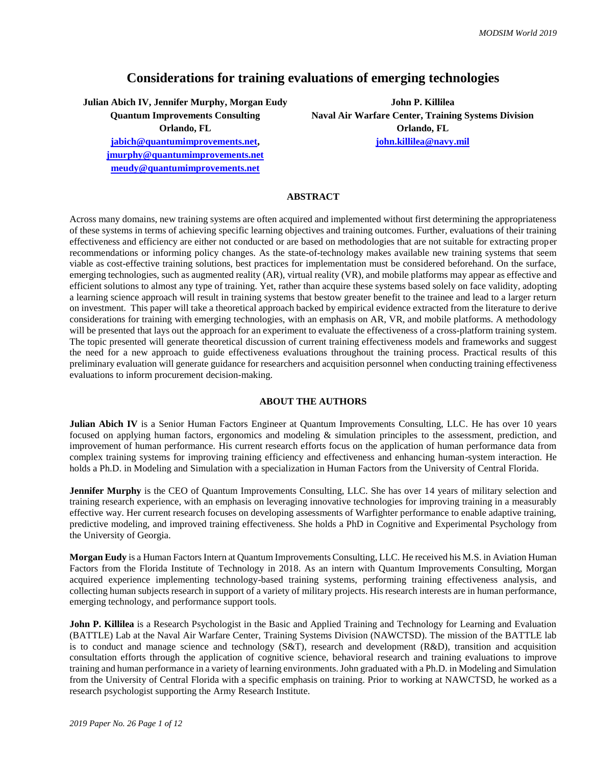# **Considerations for training evaluations of emerging technologies**

**Julian Abich IV, Jennifer Murphy, Morgan Eudy John P. Killilea**

**[jmurphy@quantumimprovements.net](mailto:jmurphy@quantumimprovements.net) [meudy@quantumimprovements.net](mailto:meudy@quantumimprovements.net)**

**Quantum Improvements Consulting Naval Air Warfare Center, Training Systems Division Orlando, FL Orlando, FL [jabich@quantumimprovements.net,](mailto:jabich@quantumimprovements.net) [john.killilea@navy.mil](mailto:john.killilea@navy.mil)**

# **ABSTRACT**

Across many domains, new training systems are often acquired and implemented without first determining the appropriateness of these systems in terms of achieving specific learning objectives and training outcomes. Further, evaluations of their training effectiveness and efficiency are either not conducted or are based on methodologies that are not suitable for extracting proper recommendations or informing policy changes. As the state-of-technology makes available new training systems that seem viable as cost-effective training solutions, best practices for implementation must be considered beforehand. On the surface, emerging technologies, such as augmented reality (AR), virtual reality (VR), and mobile platforms may appear as effective and efficient solutions to almost any type of training. Yet, rather than acquire these systems based solely on face validity, adopting a learning science approach will result in training systems that bestow greater benefit to the trainee and lead to a larger return on investment. This paper will take a theoretical approach backed by empirical evidence extracted from the literature to derive considerations for training with emerging technologies, with an emphasis on AR, VR, and mobile platforms. A methodology will be presented that lays out the approach for an experiment to evaluate the effectiveness of a cross-platform training system. The topic presented will generate theoretical discussion of current training effectiveness models and frameworks and suggest the need for a new approach to guide effectiveness evaluations throughout the training process. Practical results of this preliminary evaluation will generate guidance for researchers and acquisition personnel when conducting training effectiveness evaluations to inform procurement decision-making.

## **ABOUT THE AUTHORS**

**Julian Abich IV** is a Senior Human Factors Engineer at Quantum Improvements Consulting, LLC. He has over 10 years focused on applying human factors, ergonomics and modeling & simulation principles to the assessment, prediction, and improvement of human performance. His current research efforts focus on the application of human performance data from complex training systems for improving training efficiency and effectiveness and enhancing human-system interaction. He holds a Ph.D. in Modeling and Simulation with a specialization in Human Factors from the University of Central Florida.

**Jennifer Murphy** is the CEO of Quantum Improvements Consulting, LLC. She has over 14 years of military selection and training research experience, with an emphasis on leveraging innovative technologies for improving training in a measurably effective way. Her current research focuses on developing assessments of Warfighter performance to enable adaptive training, predictive modeling, and improved training effectiveness. She holds a PhD in Cognitive and Experimental Psychology from the University of Georgia.

**Morgan Eudy** is a Human Factors Intern at Quantum Improvements Consulting, LLC. He received his M.S. in Aviation Human Factors from the Florida Institute of Technology in 2018. As an intern with Quantum Improvements Consulting, Morgan acquired experience implementing technology-based training systems, performing training effectiveness analysis, and collecting human subjects research in support of a variety of military projects. His research interests are in human performance, emerging technology, and performance support tools.

**John P. Killilea** is a Research Psychologist in the Basic and Applied Training and Technology for Learning and Evaluation (BATTLE) Lab at the Naval Air Warfare Center, Training Systems Division (NAWCTSD). The mission of the BATTLE lab is to conduct and manage science and technology (S&T), research and development (R&D), transition and acquisition consultation efforts through the application of cognitive science, behavioral research and training evaluations to improve training and human performance in a variety of learning environments. John graduated with a Ph.D. in Modeling and Simulation from the University of Central Florida with a specific emphasis on training. Prior to working at NAWCTSD, he worked as a research psychologist supporting the Army Research Institute.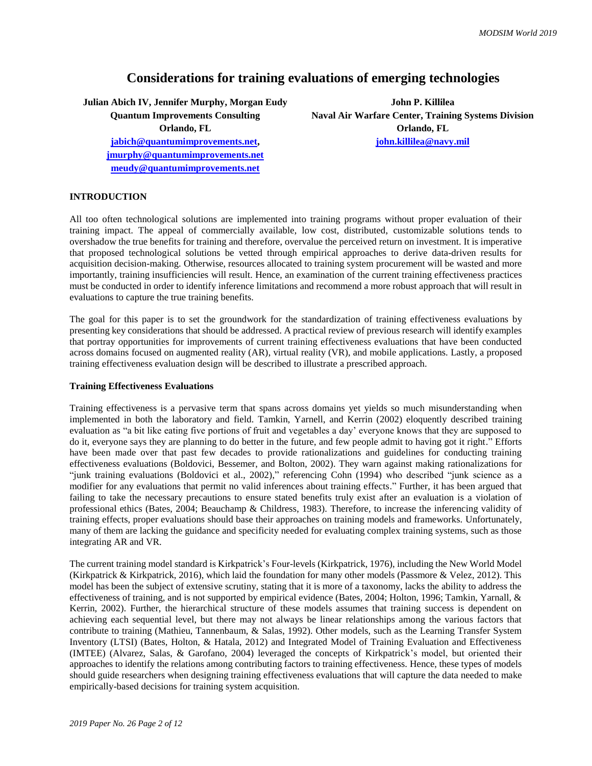# **Considerations for training evaluations of emerging technologies**

**Julian Abich IV, Jennifer Murphy, Morgan Eudy John P. Killilea [jabich@quantumimprovements.net,](mailto:jabich@quantumimprovements.net) [john.killilea@navy.mil](mailto:john.killilea@navy.mil)**

**[jmurphy@quantumimprovements.net](mailto:jmurphy@quantumimprovements.net) [meudy@quantumimprovements.net](mailto:meudy@quantumimprovements.net)**

**Quantum Improvements Consulting Naval Air Warfare Center, Training Systems Division Orlando, FL Orlando, FL**

# **INTRODUCTION**

All too often technological solutions are implemented into training programs without proper evaluation of their training impact. The appeal of commercially available, low cost, distributed, customizable solutions tends to overshadow the true benefits for training and therefore, overvalue the perceived return on investment. It is imperative that proposed technological solutions be vetted through empirical approaches to derive data-driven results for acquisition decision-making. Otherwise, resources allocated to training system procurement will be wasted and more importantly, training insufficiencies will result. Hence, an examination of the current training effectiveness practices must be conducted in order to identify inference limitations and recommend a more robust approach that will result in evaluations to capture the true training benefits.

The goal for this paper is to set the groundwork for the standardization of training effectiveness evaluations by presenting key considerations that should be addressed. A practical review of previous research will identify examples that portray opportunities for improvements of current training effectiveness evaluations that have been conducted across domains focused on augmented reality (AR), virtual reality (VR), and mobile applications. Lastly, a proposed training effectiveness evaluation design will be described to illustrate a prescribed approach.

#### **Training Effectiveness Evaluations**

Training effectiveness is a pervasive term that spans across domains yet yields so much misunderstanding when implemented in both the laboratory and field. Tamkin, Yarnell, and Kerrin (2002) eloquently described training evaluation as "a bit like eating five portions of fruit and vegetables a day' everyone knows that they are supposed to do it, everyone says they are planning to do better in the future, and few people admit to having got it right." Efforts have been made over that past few decades to provide rationalizations and guidelines for conducting training effectiveness evaluations (Boldovici, Bessemer, and Bolton, 2002). They warn against making rationalizations for "junk training evaluations (Boldovici et al., 2002)," referencing Cohn (1994) who described "junk science as a modifier for any evaluations that permit no valid inferences about training effects." Further, it has been argued that failing to take the necessary precautions to ensure stated benefits truly exist after an evaluation is a violation of professional ethics (Bates, 2004; Beauchamp & Childress, 1983). Therefore, to increase the inferencing validity of training effects, proper evaluations should base their approaches on training models and frameworks. Unfortunately, many of them are lacking the guidance and specificity needed for evaluating complex training systems, such as those integrating AR and VR.

The current training model standard is Kirkpatrick's Four-levels (Kirkpatrick, 1976), including the New World Model (Kirkpatrick & Kirkpatrick, 2016), which laid the foundation for many other models (Passmore & Velez, 2012). This model has been the subject of extensive scrutiny, stating that it is more of a taxonomy, lacks the ability to address the effectiveness of training, and is not supported by empirical evidence (Bates, 2004; Holton, 1996; Tamkin, Yarnall, & Kerrin, 2002). Further, the hierarchical structure of these models assumes that training success is dependent on achieving each sequential level, but there may not always be linear relationships among the various factors that contribute to training (Mathieu, Tannenbaum, & Salas, 1992). Other models, such as the Learning Transfer System Inventory (LTSI) (Bates, Holton, & Hatala, 2012) and Integrated Model of Training Evaluation and Effectiveness (IMTEE) (Alvarez, Salas, & Garofano, 2004) leveraged the concepts of Kirkpatrick's model, but oriented their approaches to identify the relations among contributing factors to training effectiveness. Hence, these types of models should guide researchers when designing training effectiveness evaluations that will capture the data needed to make empirically-based decisions for training system acquisition.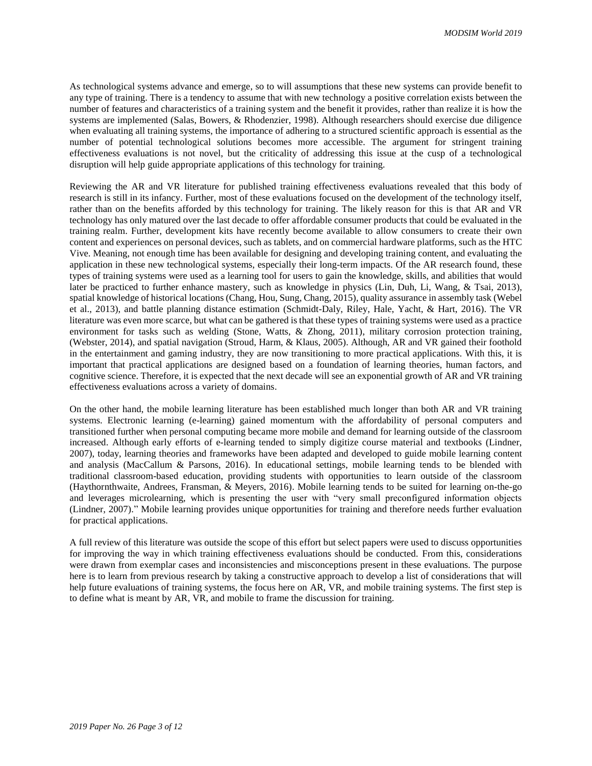As technological systems advance and emerge, so to will assumptions that these new systems can provide benefit to any type of training. There is a tendency to assume that with new technology a positive correlation exists between the number of features and characteristics of a training system and the benefit it provides, rather than realize it is how the systems are implemented (Salas, Bowers, & Rhodenzier, 1998). Although researchers should exercise due diligence when evaluating all training systems, the importance of adhering to a structured scientific approach is essential as the number of potential technological solutions becomes more accessible. The argument for stringent training effectiveness evaluations is not novel, but the criticality of addressing this issue at the cusp of a technological disruption will help guide appropriate applications of this technology for training.

Reviewing the AR and VR literature for published training effectiveness evaluations revealed that this body of research is still in its infancy. Further, most of these evaluations focused on the development of the technology itself, rather than on the benefits afforded by this technology for training. The likely reason for this is that AR and VR technology has only matured over the last decade to offer affordable consumer products that could be evaluated in the training realm. Further, development kits have recently become available to allow consumers to create their own content and experiences on personal devices, such as tablets, and on commercial hardware platforms, such as the HTC Vive. Meaning, not enough time has been available for designing and developing training content, and evaluating the application in these new technological systems, especially their long-term impacts. Of the AR research found, these types of training systems were used as a learning tool for users to gain the knowledge, skills, and abilities that would later be practiced to further enhance mastery, such as knowledge in physics (Lin, Duh, Li, Wang, & Tsai, 2013), spatial knowledge of historical locations (Chang, Hou, Sung, Chang, 2015), quality assurance in assembly task (Webel et al., 2013), and battle planning distance estimation (Schmidt-Daly, Riley, Hale, Yacht, & Hart, 2016). The VR literature was even more scarce, but what can be gathered is that these types of training systems were used as a practice environment for tasks such as welding (Stone, Watts, & Zhong, 2011), military corrosion protection training, (Webster, 2014), and spatial navigation (Stroud, Harm, & Klaus, 2005). Although, AR and VR gained their foothold in the entertainment and gaming industry, they are now transitioning to more practical applications. With this, it is important that practical applications are designed based on a foundation of learning theories, human factors, and cognitive science. Therefore, it is expected that the next decade will see an exponential growth of AR and VR training effectiveness evaluations across a variety of domains.

On the other hand, the mobile learning literature has been established much longer than both AR and VR training systems. Electronic learning (e-learning) gained momentum with the affordability of personal computers and transitioned further when personal computing became more mobile and demand for learning outside of the classroom increased. Although early efforts of e-learning tended to simply digitize course material and textbooks (Lindner, 2007), today, learning theories and frameworks have been adapted and developed to guide mobile learning content and analysis (MacCallum & Parsons, 2016). In educational settings, mobile learning tends to be blended with traditional classroom-based education, providing students with opportunities to learn outside of the classroom (Haythornthwaite, Andrees, Fransman, & Meyers, 2016). Mobile learning tends to be suited for learning on-the-go and leverages microlearning, which is presenting the user with "very small preconfigured information objects (Lindner, 2007)." Mobile learning provides unique opportunities for training and therefore needs further evaluation for practical applications.

A full review of this literature was outside the scope of this effort but select papers were used to discuss opportunities for improving the way in which training effectiveness evaluations should be conducted. From this, considerations were drawn from exemplar cases and inconsistencies and misconceptions present in these evaluations. The purpose here is to learn from previous research by taking a constructive approach to develop a list of considerations that will help future evaluations of training systems, the focus here on AR, VR, and mobile training systems. The first step is to define what is meant by AR, VR, and mobile to frame the discussion for training.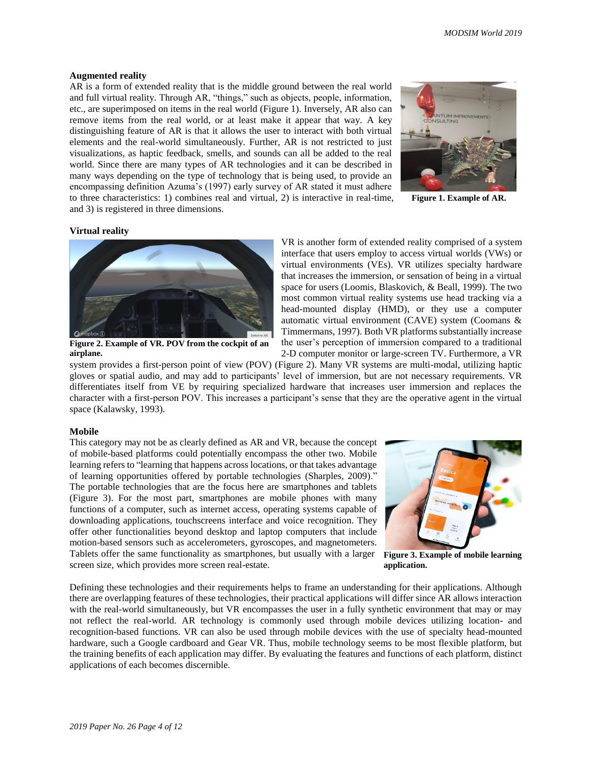#### **Augmented reality**

AR is a form of extended reality that is the middle ground between the real world and full virtual reality. Through AR, "things," such as objects, people, information, etc., are superimposed on items in the real world (Figure 1). Inversely, AR also can remove items from the real world, or at least make it appear that way. A key distinguishing feature of AR is that it allows the user to interact with both virtual elements and the real-world simultaneously. Further, AR is not restricted to just visualizations, as haptic feedback, smells, and sounds can all be added to the real world. Since there are many types of AR technologies and it can be described in many ways depending on the type of technology that is being used, to provide an encompassing definition Azuma's (1997) early survey of AR stated it must adhere to three characteristics: 1) combines real and virtual, 2) is interactive in real-time, and 3) is registered in three dimensions.



**Figure 1. Example of AR.**

#### **Virtual reality**



**Figure 2. Example of VR. POV from the cockpit of an airplane.**

VR is another form of extended reality comprised of a system interface that users employ to access virtual worlds (VWs) or virtual environments (VEs). VR utilizes specialty hardware that increases the immersion, or sensation of being in a virtual space for users (Loomis, Blaskovich, & Beall, 1999). The two most common virtual reality systems use head tracking via a head-mounted display (HMD), or they use a computer automatic virtual environment (CAVE) system (Coomans & Timmermans, 1997). Both VR platforms substantially increase the user's perception of immersion compared to a traditional 2-D computer monitor or large-screen TV. Furthermore, a VR

system provides a first-person point of view (POV) (Figure 2). Many VR systems are multi-modal, utilizing haptic gloves or spatial audio, and may add to participants' level of immersion, but are not necessary requirements. VR differentiates itself from VE by requiring specialized hardware that increases user immersion and replaces the character with a first-person POV. This increases a participant's sense that they are the operative agent in the virtual space (Kalawsky, 1993).

#### **Mobile**

This category may not be as clearly defined as AR and VR, because the concept of mobile-based platforms could potentially encompass the other two. Mobile learning refers to "learning that happens across locations, or that takes advantage of learning opportunities offered by portable technologies (Sharples, 2009)." The portable technologies that are the focus here are smartphones and tablets (Figure 3). For the most part, smartphones are mobile phones with many functions of a computer, such as internet access, operating systems capable of downloading applications, touchscreens interface and voice recognition. They offer other functionalities beyond desktop and laptop computers that include motion-based sensors such as accelerometers, gyroscopes, and magnetometers. Tablets offer the same functionality as smartphones, but usually with a larger screen size, which provides more screen real-estate.



**Figure 3. Example of mobile learning application.**

Defining these technologies and their requirements helps to frame an understanding for their applications. Although there are overlapping features of these technologies, their practical applications will differ since AR allows interaction with the real-world simultaneously, but VR encompasses the user in a fully synthetic environment that may or may not reflect the real-world. AR technology is commonly used through mobile devices utilizing location- and recognition-based functions. VR can also be used through mobile devices with the use of specialty head-mounted hardware, such a Google cardboard and Gear VR. Thus, mobile technology seems to be most flexible platform, but the training benefits of each application may differ. By evaluating the features and functions of each platform, distinct applications of each becomes discernible.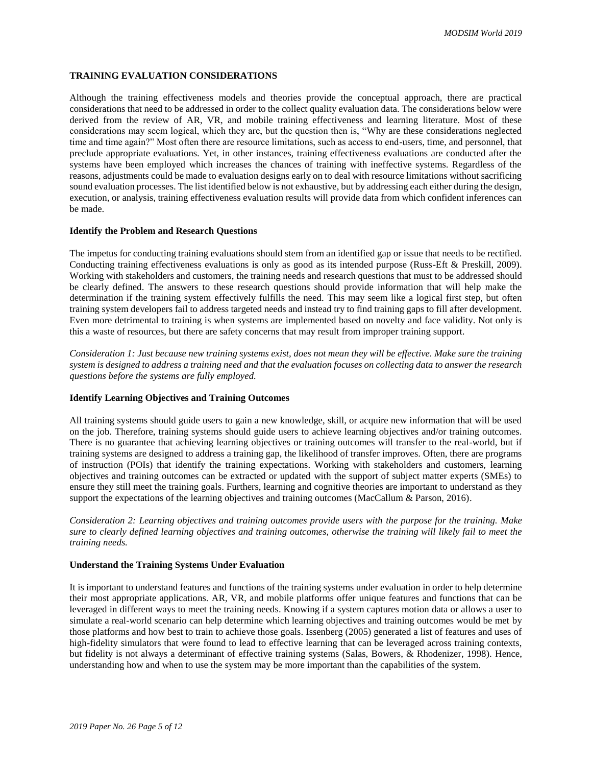# **TRAINING EVALUATION CONSIDERATIONS**

Although the training effectiveness models and theories provide the conceptual approach, there are practical considerations that need to be addressed in order to the collect quality evaluation data. The considerations below were derived from the review of AR, VR, and mobile training effectiveness and learning literature. Most of these considerations may seem logical, which they are, but the question then is, "Why are these considerations neglected time and time again?" Most often there are resource limitations, such as access to end-users, time, and personnel, that preclude appropriate evaluations. Yet, in other instances, training effectiveness evaluations are conducted after the systems have been employed which increases the chances of training with ineffective systems. Regardless of the reasons, adjustments could be made to evaluation designs early on to deal with resource limitations without sacrificing sound evaluation processes. The list identified below is not exhaustive, but by addressing each either during the design, execution, or analysis, training effectiveness evaluation results will provide data from which confident inferences can be made.

## **Identify the Problem and Research Questions**

The impetus for conducting training evaluations should stem from an identified gap or issue that needs to be rectified. Conducting training effectiveness evaluations is only as good as its intended purpose (Russ-Eft & Preskill, 2009). Working with stakeholders and customers, the training needs and research questions that must to be addressed should be clearly defined. The answers to these research questions should provide information that will help make the determination if the training system effectively fulfills the need. This may seem like a logical first step, but often training system developers fail to address targeted needs and instead try to find training gaps to fill after development. Even more detrimental to training is when systems are implemented based on novelty and face validity. Not only is this a waste of resources, but there are safety concerns that may result from improper training support.

*Consideration 1: Just because new training systems exist, does not mean they will be effective. Make sure the training system is designed to address a training need and that the evaluation focuses on collecting data to answer the research questions before the systems are fully employed.*

# **Identify Learning Objectives and Training Outcomes**

All training systems should guide users to gain a new knowledge, skill, or acquire new information that will be used on the job. Therefore, training systems should guide users to achieve learning objectives and/or training outcomes. There is no guarantee that achieving learning objectives or training outcomes will transfer to the real-world, but if training systems are designed to address a training gap, the likelihood of transfer improves. Often, there are programs of instruction (POIs) that identify the training expectations. Working with stakeholders and customers, learning objectives and training outcomes can be extracted or updated with the support of subject matter experts (SMEs) to ensure they still meet the training goals. Furthers, learning and cognitive theories are important to understand as they support the expectations of the learning objectives and training outcomes (MacCallum & Parson, 2016).

*Consideration 2: Learning objectives and training outcomes provide users with the purpose for the training. Make sure to clearly defined learning objectives and training outcomes, otherwise the training will likely fail to meet the training needs.*

# **Understand the Training Systems Under Evaluation**

It is important to understand features and functions of the training systems under evaluation in order to help determine their most appropriate applications. AR, VR, and mobile platforms offer unique features and functions that can be leveraged in different ways to meet the training needs. Knowing if a system captures motion data or allows a user to simulate a real-world scenario can help determine which learning objectives and training outcomes would be met by those platforms and how best to train to achieve those goals. Issenberg (2005) generated a list of features and uses of high-fidelity simulators that were found to lead to effective learning that can be leveraged across training contexts, but fidelity is not always a determinant of effective training systems (Salas, Bowers, & Rhodenizer, 1998). Hence, understanding how and when to use the system may be more important than the capabilities of the system.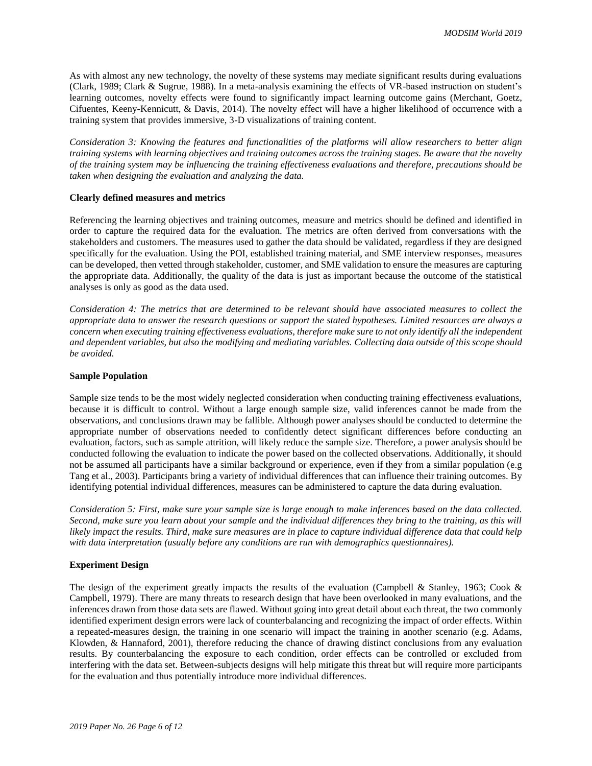As with almost any new technology, the novelty of these systems may mediate significant results during evaluations (Clark, 1989; Clark & Sugrue, 1988). In a meta-analysis examining the effects of VR-based instruction on student's learning outcomes, novelty effects were found to significantly impact learning outcome gains (Merchant, Goetz, Cifuentes, Keeny-Kennicutt, & Davis, 2014). The novelty effect will have a higher likelihood of occurrence with a training system that provides immersive, 3-D visualizations of training content.

*Consideration 3: Knowing the features and functionalities of the platforms will allow researchers to better align training systems with learning objectives and training outcomes across the training stages. Be aware that the novelty of the training system may be influencing the training effectiveness evaluations and therefore, precautions should be taken when designing the evaluation and analyzing the data.*

## **Clearly defined measures and metrics**

Referencing the learning objectives and training outcomes, measure and metrics should be defined and identified in order to capture the required data for the evaluation. The metrics are often derived from conversations with the stakeholders and customers. The measures used to gather the data should be validated, regardless if they are designed specifically for the evaluation. Using the POI, established training material, and SME interview responses, measures can be developed, then vetted through stakeholder, customer, and SME validation to ensure the measures are capturing the appropriate data. Additionally, the quality of the data is just as important because the outcome of the statistical analyses is only as good as the data used.

*Consideration 4: The metrics that are determined to be relevant should have associated measures to collect the appropriate data to answer the research questions or support the stated hypotheses. Limited resources are always a concern when executing training effectiveness evaluations, therefore make sure to not only identify all the independent and dependent variables, but also the modifying and mediating variables. Collecting data outside of this scope should be avoided.*

#### **Sample Population**

Sample size tends to be the most widely neglected consideration when conducting training effectiveness evaluations, because it is difficult to control. Without a large enough sample size, valid inferences cannot be made from the observations, and conclusions drawn may be fallible. Although power analyses should be conducted to determine the appropriate number of observations needed to confidently detect significant differences before conducting an evaluation, factors, such as sample attrition, will likely reduce the sample size. Therefore, a power analysis should be conducted following the evaluation to indicate the power based on the collected observations. Additionally, it should not be assumed all participants have a similar background or experience, even if they from a similar population (e.g Tang et al., 2003). Participants bring a variety of individual differences that can influence their training outcomes. By identifying potential individual differences, measures can be administered to capture the data during evaluation.

*Consideration 5: First, make sure your sample size is large enough to make inferences based on the data collected. Second, make sure you learn about your sample and the individual differences they bring to the training, as this will likely impact the results. Third, make sure measures are in place to capture individual difference data that could help with data interpretation (usually before any conditions are run with demographics questionnaires).*

## **Experiment Design**

The design of the experiment greatly impacts the results of the evaluation (Campbell & Stanley, 1963; Cook & Campbell, 1979). There are many threats to research design that have been overlooked in many evaluations, and the inferences drawn from those data sets are flawed. Without going into great detail about each threat, the two commonly identified experiment design errors were lack of counterbalancing and recognizing the impact of order effects. Within a repeated-measures design, the training in one scenario will impact the training in another scenario (e.g. Adams, Klowden, & Hannaford, 2001), therefore reducing the chance of drawing distinct conclusions from any evaluation results. By counterbalancing the exposure to each condition, order effects can be controlled or excluded from interfering with the data set. Between-subjects designs will help mitigate this threat but will require more participants for the evaluation and thus potentially introduce more individual differences.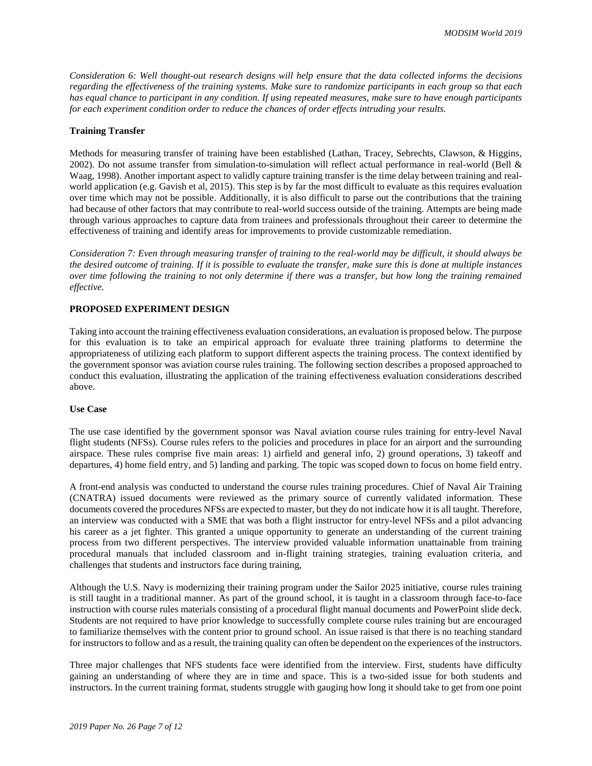*Consideration 6: Well thought-out research designs will help ensure that the data collected informs the decisions regarding the effectiveness of the training systems. Make sure to randomize participants in each group so that each has equal chance to participant in any condition. If using repeated measures, make sure to have enough participants for each experiment condition order to reduce the chances of order effects intruding your results.*

#### **Training Transfer**

Methods for measuring transfer of training have been established (Lathan, Tracey, Sebrechts, Clawson, & Higgins, 2002). Do not assume transfer from simulation-to-simulation will reflect actual performance in real-world (Bell & Waag, 1998). Another important aspect to validly capture training transfer is the time delay between training and realworld application (e.g. Gavish et al, 2015). This step is by far the most difficult to evaluate as this requires evaluation over time which may not be possible. Additionally, it is also difficult to parse out the contributions that the training had because of other factors that may contribute to real-world success outside of the training. Attempts are being made through various approaches to capture data from trainees and professionals throughout their career to determine the effectiveness of training and identify areas for improvements to provide customizable remediation.

*Consideration 7: Even through measuring transfer of training to the real-world may be difficult, it should always be the desired outcome of training. If it is possible to evaluate the transfer, make sure this is done at multiple instances over time following the training to not only determine if there was a transfer, but how long the training remained effective.*

# **PROPOSED EXPERIMENT DESIGN**

Taking into account the training effectiveness evaluation considerations, an evaluation is proposed below. The purpose for this evaluation is to take an empirical approach for evaluate three training platforms to determine the appropriateness of utilizing each platform to support different aspects the training process. The context identified by the government sponsor was aviation course rules training. The following section describes a proposed approached to conduct this evaluation, illustrating the application of the training effectiveness evaluation considerations described above.

# **Use Case**

The use case identified by the government sponsor was Naval aviation course rules training for entry-level Naval flight students (NFSs). Course rules refers to the policies and procedures in place for an airport and the surrounding airspace. These rules comprise five main areas: 1) airfield and general info, 2) ground operations, 3) takeoff and departures, 4) home field entry, and 5) landing and parking. The topic was scoped down to focus on home field entry.

A front-end analysis was conducted to understand the course rules training procedures. Chief of Naval Air Training (CNATRA) issued documents were reviewed as the primary source of currently validated information. These documents covered the procedures NFSs are expected to master, but they do not indicate how it is all taught. Therefore, an interview was conducted with a SME that was both a flight instructor for entry-level NFSs and a pilot advancing his career as a jet fighter. This granted a unique opportunity to generate an understanding of the current training process from two different perspectives. The interview provided valuable information unattainable from training procedural manuals that included classroom and in-flight training strategies, training evaluation criteria, and challenges that students and instructors face during training,

Although the U.S. Navy is modernizing their training program under the Sailor 2025 initiative, course rules training is still taught in a traditional manner. As part of the ground school, it is taught in a classroom through face-to-face instruction with course rules materials consisting of a procedural flight manual documents and PowerPoint slide deck. Students are not required to have prior knowledge to successfully complete course rules training but are encouraged to familiarize themselves with the content prior to ground school. An issue raised is that there is no teaching standard for instructors to follow and as a result, the training quality can often be dependent on the experiences of the instructors.

Three major challenges that NFS students face were identified from the interview. First, students have difficulty gaining an understanding of where they are in time and space. This is a two-sided issue for both students and instructors. In the current training format, students struggle with gauging how long it should take to get from one point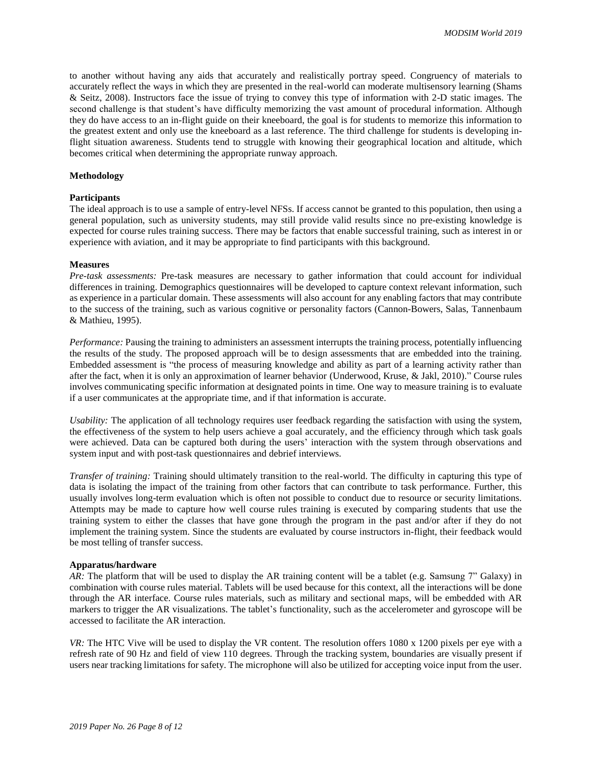to another without having any aids that accurately and realistically portray speed. Congruency of materials to accurately reflect the ways in which they are presented in the real-world can moderate multisensory learning (Shams & Seitz, 2008). Instructors face the issue of trying to convey this type of information with 2-D static images. The second challenge is that student's have difficulty memorizing the vast amount of procedural information. Although they do have access to an in-flight guide on their kneeboard, the goal is for students to memorize this information to the greatest extent and only use the kneeboard as a last reference. The third challenge for students is developing inflight situation awareness. Students tend to struggle with knowing their geographical location and altitude, which becomes critical when determining the appropriate runway approach.

#### **Methodology**

#### **Participants**

The ideal approach is to use a sample of entry-level NFSs. If access cannot be granted to this population, then using a general population, such as university students, may still provide valid results since no pre-existing knowledge is expected for course rules training success. There may be factors that enable successful training, such as interest in or experience with aviation, and it may be appropriate to find participants with this background.

#### **Measures**

*Pre-task assessments:* Pre-task measures are necessary to gather information that could account for individual differences in training. Demographics questionnaires will be developed to capture context relevant information, such as experience in a particular domain. These assessments will also account for any enabling factors that may contribute to the success of the training, such as various cognitive or personality factors (Cannon-Bowers, Salas, Tannenbaum & Mathieu, 1995).

*Performance:* Pausing the training to administers an assessment interrupts the training process, potentially influencing the results of the study. The proposed approach will be to design assessments that are embedded into the training. Embedded assessment is "the process of measuring knowledge and ability as part of a learning activity rather than after the fact, when it is only an approximation of learner behavior (Underwood, Kruse, & Jakl, 2010)." Course rules involves communicating specific information at designated points in time. One way to measure training is to evaluate if a user communicates at the appropriate time, and if that information is accurate.

*Usability:* The application of all technology requires user feedback regarding the satisfaction with using the system, the effectiveness of the system to help users achieve a goal accurately, and the efficiency through which task goals were achieved. Data can be captured both during the users' interaction with the system through observations and system input and with post-task questionnaires and debrief interviews.

*Transfer of training:* Training should ultimately transition to the real-world. The difficulty in capturing this type of data is isolating the impact of the training from other factors that can contribute to task performance. Further, this usually involves long-term evaluation which is often not possible to conduct due to resource or security limitations. Attempts may be made to capture how well course rules training is executed by comparing students that use the training system to either the classes that have gone through the program in the past and/or after if they do not implement the training system. Since the students are evaluated by course instructors in-flight, their feedback would be most telling of transfer success.

## **Apparatus/hardware**

*AR:* The platform that will be used to display the AR training content will be a tablet (e.g. Samsung 7" Galaxy) in combination with course rules material. Tablets will be used because for this context, all the interactions will be done through the AR interface. Course rules materials, such as military and sectional maps, will be embedded with AR markers to trigger the AR visualizations. The tablet's functionality, such as the accelerometer and gyroscope will be accessed to facilitate the AR interaction.

*VR:* The HTC Vive will be used to display the VR content. The resolution offers 1080 x 1200 pixels per eye with a refresh rate of 90 Hz and field of view 110 degrees. Through the tracking system, boundaries are visually present if users near tracking limitations for safety. The microphone will also be utilized for accepting voice input from the user.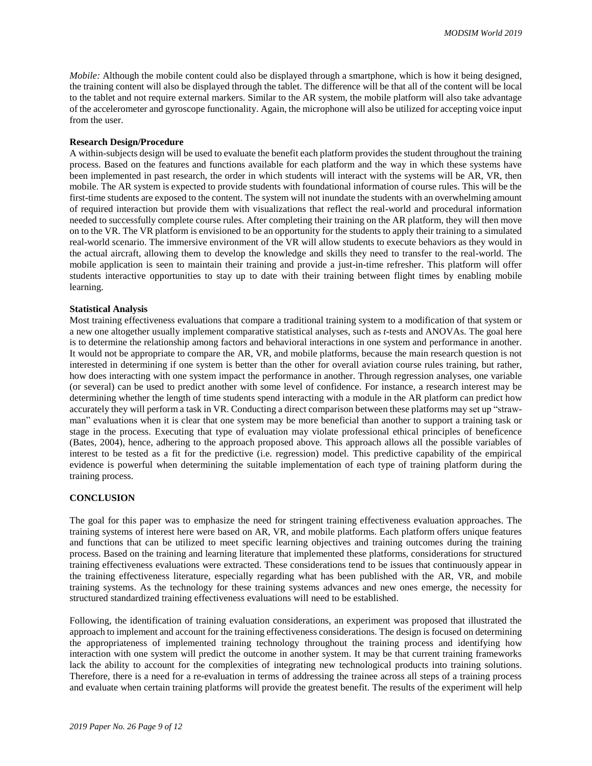*Mobile:* Although the mobile content could also be displayed through a smartphone, which is how it being designed, the training content will also be displayed through the tablet. The difference will be that all of the content will be local to the tablet and not require external markers. Similar to the AR system, the mobile platform will also take advantage of the accelerometer and gyroscope functionality. Again, the microphone will also be utilized for accepting voice input from the user.

#### **Research Design/Procedure**

A within-subjects design will be used to evaluate the benefit each platform provides the student throughout the training process. Based on the features and functions available for each platform and the way in which these systems have been implemented in past research, the order in which students will interact with the systems will be AR, VR, then mobile. The AR system is expected to provide students with foundational information of course rules. This will be the first-time students are exposed to the content. The system will not inundate the students with an overwhelming amount of required interaction but provide them with visualizations that reflect the real-world and procedural information needed to successfully complete course rules. After completing their training on the AR platform, they will then move on to the VR. The VR platform is envisioned to be an opportunity for the students to apply their training to a simulated real-world scenario. The immersive environment of the VR will allow students to execute behaviors as they would in the actual aircraft, allowing them to develop the knowledge and skills they need to transfer to the real-world. The mobile application is seen to maintain their training and provide a just-in-time refresher. This platform will offer students interactive opportunities to stay up to date with their training between flight times by enabling mobile learning.

#### **Statistical Analysis**

Most training effectiveness evaluations that compare a traditional training system to a modification of that system or a new one altogether usually implement comparative statistical analyses, such as *t-*tests and ANOVAs. The goal here is to determine the relationship among factors and behavioral interactions in one system and performance in another. It would not be appropriate to compare the AR, VR, and mobile platforms, because the main research question is not interested in determining if one system is better than the other for overall aviation course rules training, but rather, how does interacting with one system impact the performance in another. Through regression analyses, one variable (or several) can be used to predict another with some level of confidence. For instance, a research interest may be determining whether the length of time students spend interacting with a module in the AR platform can predict how accurately they will perform a task in VR. Conducting a direct comparison between these platforms may set up "strawman" evaluations when it is clear that one system may be more beneficial than another to support a training task or stage in the process. Executing that type of evaluation may violate professional ethical principles of beneficence (Bates, 2004), hence, adhering to the approach proposed above. This approach allows all the possible variables of interest to be tested as a fit for the predictive (i.e. regression) model. This predictive capability of the empirical evidence is powerful when determining the suitable implementation of each type of training platform during the training process.

## **CONCLUSION**

The goal for this paper was to emphasize the need for stringent training effectiveness evaluation approaches. The training systems of interest here were based on AR, VR, and mobile platforms. Each platform offers unique features and functions that can be utilized to meet specific learning objectives and training outcomes during the training process. Based on the training and learning literature that implemented these platforms, considerations for structured training effectiveness evaluations were extracted. These considerations tend to be issues that continuously appear in the training effectiveness literature, especially regarding what has been published with the AR, VR, and mobile training systems. As the technology for these training systems advances and new ones emerge, the necessity for structured standardized training effectiveness evaluations will need to be established.

Following, the identification of training evaluation considerations, an experiment was proposed that illustrated the approach to implement and account for the training effectiveness considerations. The design is focused on determining the appropriateness of implemented training technology throughout the training process and identifying how interaction with one system will predict the outcome in another system. It may be that current training frameworks lack the ability to account for the complexities of integrating new technological products into training solutions. Therefore, there is a need for a re-evaluation in terms of addressing the trainee across all steps of a training process and evaluate when certain training platforms will provide the greatest benefit. The results of the experiment will help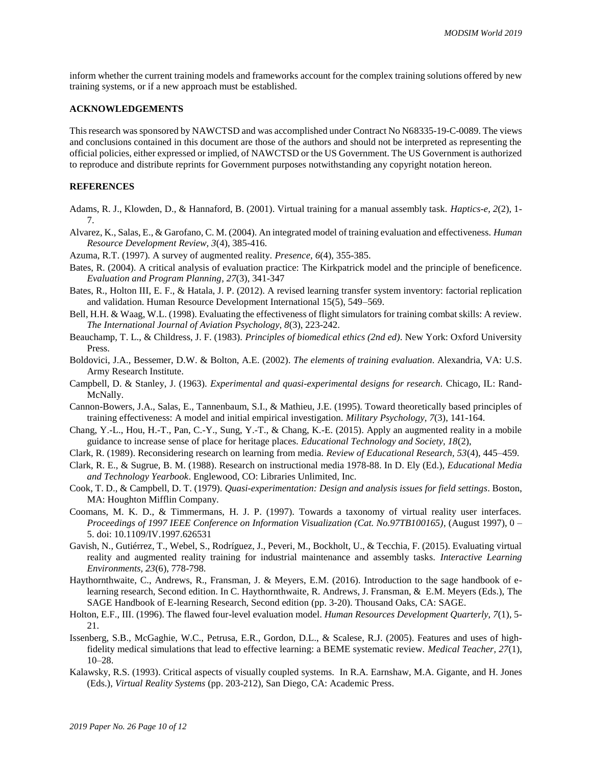inform whether the current training models and frameworks account for the complex training solutions offered by new training systems, or if a new approach must be established.

#### **ACKNOWLEDGEMENTS**

This research was sponsored by NAWCTSD and was accomplished under Contract No N68335-19-C-0089. The views and conclusions contained in this document are those of the authors and should not be interpreted as representing the official policies, either expressed or implied, of NAWCTSD or the US Government. The US Government is authorized to reproduce and distribute reprints for Government purposes notwithstanding any copyright notation hereon.

# **REFERENCES**

- Adams, R. J., Klowden, D., & Hannaford, B. (2001). Virtual training for a manual assembly task. *Haptics-e, 2*(2), 1- 7.
- Alvarez, K., Salas, E., & Garofano, C. M. (2004). An integrated model of training evaluation and effectiveness. *Human Resource Development Review, 3*(4), 385-416.
- Azuma, R.T. (1997). A survey of augmented reality. *Presence, 6*(4), 355-385.
- Bates, R. (2004). A critical analysis of evaluation practice: The Kirkpatrick model and the principle of beneficence. *Evaluation and Program Planning, 27*(3), 341-347
- Bates, R., Holton III, E. F., & Hatala, J. P. (2012). A revised learning transfer system inventory: factorial replication and validation. Human Resource Development International 15(5), 549–569.
- Bell, H.H. & Waag, W.L. (1998). Evaluating the effectiveness of flight simulators for training combat skills: A review. *The International Journal of Aviation Psychology, 8*(3), 223-242.
- Beauchamp, T. L., & Childress, J. F. (1983). *Principles of biomedical ethics (2nd ed)*. New York: Oxford University Press.
- Boldovici, J.A., Bessemer, D.W. & Bolton, A.E. (2002). *The elements of training evaluation*. Alexandria, VA: U.S. Army Research Institute.
- Campbell, D. & Stanley, J. (1963). *Experimental and quasi-experimental designs for research.* Chicago, IL: Rand-McNally.
- Cannon-Bowers, J.A., Salas, E., Tannenbaum, S.I., & Mathieu, J.E. (1995). Toward theoretically based principles of training effectiveness: A model and initial empirical investigation. *Military Psychology, 7*(3), 141-164.
- Chang, Y.-L., Hou, H.-T., Pan, C.-Y., Sung, Y.-T., & Chang, K.-E. (2015). Apply an augmented reality in a mobile guidance to increase sense of place for heritage places. *Educational Technology and Society, 18*(2),
- Clark, R. (1989). Reconsidering research on learning from media. *Review of Educational Research, 53*(4), 445–459.
- Clark, R. E., & Sugrue, B. M. (1988). Research on instructional media 1978-88. In D. Ely (Ed.), *Educational Media and Technology Yearbook*. Englewood, CO: Libraries Unlimited, Inc.
- Cook, T. D., & Campbell, D. T. (1979). *Quasi-experimentation: Design and analysis issues for field settings*. Boston, MA: Houghton Mifflin Company.
- Coomans, M. K. D., & Timmermans, H. J. P. (1997). Towards a taxonomy of virtual reality user interfaces. *Proceedings of 1997 IEEE Conference on Information Visualization (Cat. No.97TB100165)*, (August 1997), 0 – 5. doi: 10.1109/IV.1997.626531
- Gavish, N., Gutiérrez, T., Webel, S., Rodríguez, J., Peveri, M., Bockholt, U., & Tecchia, F. (2015). Evaluating virtual reality and augmented reality training for industrial maintenance and assembly tasks. *Interactive Learning Environments, 23*(6), 778-798.
- Haythornthwaite, C., Andrews, R., Fransman, J. & Meyers, E.M. (2016). Introduction to the sage handbook of elearning research, Second edition. In C. Haythornthwaite, R. Andrews, J. Fransman, & E.M. Meyers (Eds.), The SAGE Handbook of E-learning Research, Second edition (pp. 3-20). Thousand Oaks, CA: SAGE.
- Holton, E.F., III. (1996). The flawed four-level evaluation model. *Human Resources Development Quarterly, 7*(1), 5- 21.
- Issenberg, S.B., McGaghie, W.C., Petrusa, E.R., Gordon, D.L., & Scalese, R.J. (2005). Features and uses of highfidelity medical simulations that lead to effective learning: a BEME systematic review. *Medical Teacher, 27*(1), 10–28.
- Kalawsky, R.S. (1993). Critical aspects of visually coupled systems. In R.A. Earnshaw, M.A. Gigante, and H. Jones (Eds.), *Virtual Reality Systems* (pp. 203-212), San Diego, CA: Academic Press.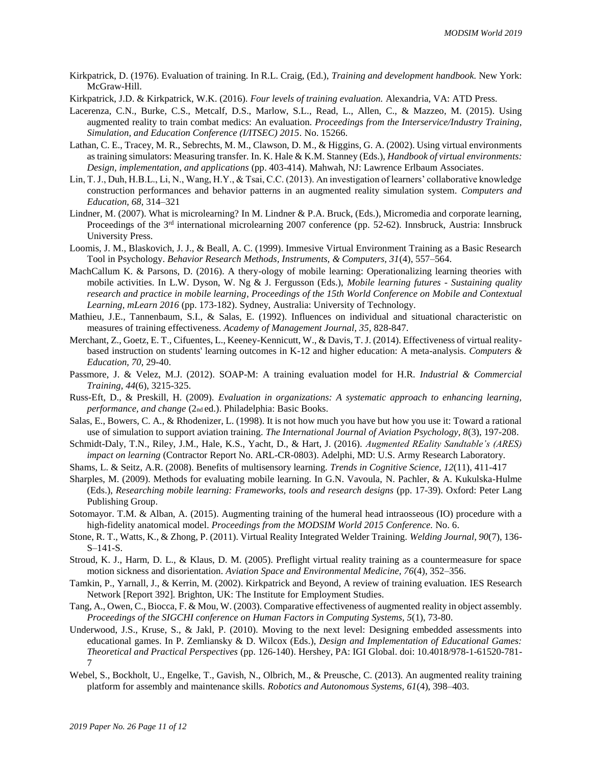- Kirkpatrick, D. (1976). Evaluation of training. In R.L. Craig, (Ed.), *Training and development handbook.* New York: McGraw-Hill.
- Kirkpatrick, J.D. & Kirkpatrick, W.K. (2016). *Four levels of training evaluation.* Alexandria, VA: ATD Press.
- Lacerenza, C.N., Burke, C.S., Metcalf, D.S., Marlow, S.L., Read, L., Allen, C., & Mazzeo, M. (2015). Using augmented reality to train combat medics: An evaluation. *Proceedings from the Interservice/Industry Training, Simulation, and Education Conference (I/ITSEC) 2015.* No. 15266.
- Lathan, C. E., Tracey, M. R., Sebrechts, M. M., Clawson, D. M., & Higgins, G. A. (2002). Using virtual environments as training simulators: Measuring transfer. In. K. Hale & K.M. Stanney (Eds.), *Handbook of virtual environments: Design, implementation, and applications* (pp. 403-414). Mahwah, NJ: Lawrence Erlbaum Associates.
- Lin, T. J., Duh, H.B.L., Li, N., Wang, H.Y., & Tsai, C.C. (2013). An investigation of learners' collaborative knowledge construction performances and behavior patterns in an augmented reality simulation system. *Computers and Education, 68*, 314–321
- Lindner, M. (2007). What is microlearning? In M. Lindner & P.A. Bruck, (Eds.), Micromedia and corporate learning, Proceedings of the  $3<sup>rd</sup>$  international microlearning 2007 conference (pp. 52-62). Innsbruck, Austria: Innsbruck University Press.
- Loomis, J. M., Blaskovich, J. J., & Beall, A. C. (1999). Immesive Virtual Environment Training as a Basic Research Tool in Psychology. *Behavior Research Methods, Instruments, & Computers, 31*(4), 557–564.
- MachCallum K. & Parsons, D. (2016). A thery-ology of mobile learning: Operationalizing learning theories with mobile activities. In L.W. Dyson, W. Ng & J. Fergusson (Eds.), *Mobile learning futures - Sustaining quality research and practice in mobile learning, Proceedings of the 15th World Conference on Mobile and Contextual Learning, mLearn 2016* (pp. 173-182). Sydney, Australia: University of Technology.
- Mathieu, J.E., Tannenbaum, S.I., & Salas, E. (1992). Influences on individual and situational characteristic on measures of training effectiveness. *Academy of Management Journal, 35*, 828-847.
- Merchant, Z., Goetz, E. T., Cifuentes, L., Keeney-Kennicutt, W., & Davis, T. J. (2014). Effectiveness of virtual realitybased instruction on students' learning outcomes in K-12 and higher education: A meta-analysis. *Computers & Education, 70*, 29-40.
- Passmore, J. & Velez, M.J. (2012). SOAP-M: A training evaluation model for H.R. *Industrial & Commercial Training, 44*(6), 3215-325.
- Russ-Eft, D., & Preskill, H. (2009). *Evaluation in organizations: A systematic approach to enhancing learning, performance, and change* (2nd ed.). Philadelphia: Basic Books.
- Salas, E., Bowers, C. A., & Rhodenizer, L. (1998). It is not how much you have but how you use it: Toward a rational use of simulation to support aviation training. *The International Journal of Aviation Psychology, 8*(3), 197-208.
- Schmidt-Daly, T.N., Riley, J.M., Hale, K.S., Yacht, D., & Hart, J. (2016). *Augmented REality Sandtable's (ARES) impact on learning* (Contractor Report No. ARL-CR-0803). Adelphi, MD: U.S. Army Research Laboratory.
- Shams, L. & Seitz, A.R. (2008). Benefits of multisensory learning. *Trends in Cognitive Science, 12*(11), 411-417
- Sharples, M. (2009). Methods for evaluating mobile learning. In G.N. Vavoula, N. Pachler, & A. Kukulska-Hulme (Eds.), *Researching mobile learning: Frameworks, tools and research designs* (pp. 17-39). Oxford: Peter Lang Publishing Group.
- Sotomayor. T.M. & Alban, A. (2015). Augmenting training of the humeral head intraosseous (IO) procedure with a high-fidelity anatomical model. *Proceedings from the MODSIM World 2015 Conference.* No. 6.
- Stone, R. T., Watts, K., & Zhong, P. (2011). Virtual Reality Integrated Welder Training. *Welding Journal, 90*(7), 136- S–141-S.
- Stroud, K. J., Harm, D. L., & Klaus, D. M. (2005). Preflight virtual reality training as a countermeasure for space motion sickness and disorientation. *Aviation Space and Environmental Medicine, 76*(4), 352–356.
- Tamkin, P., Yarnall, J., & Kerrin, M. (2002). Kirkpatrick and Beyond, A review of training evaluation. IES Research Network [Report 392]. Brighton, UK: The Institute for Employment Studies.
- Tang, A., Owen, C., Biocca, F. & Mou, W. (2003). Comparative effectiveness of augmented reality in object assembly. *Proceedings of the SIGCHI conference on Human Factors in Computing Systems, 5*(1), 73-80.
- Underwood, J.S., Kruse, S., & Jakl, P. (2010). Moving to the next level: Designing embedded assessments into educational games. In P. Zemliansky & D. Wilcox (Eds.), *Design and Implementation of Educational Games: Theoretical and Practical Perspectives* (pp. 126-140). Hershey, PA: IGI Global. doi: 10.4018/978-1-61520-781- 7
- Webel, S., Bockholt, U., Engelke, T., Gavish, N., Olbrich, M., & Preusche, C. (2013). An augmented reality training platform for assembly and maintenance skills. *Robotics and Autonomous Systems, 61*(4), 398–403.